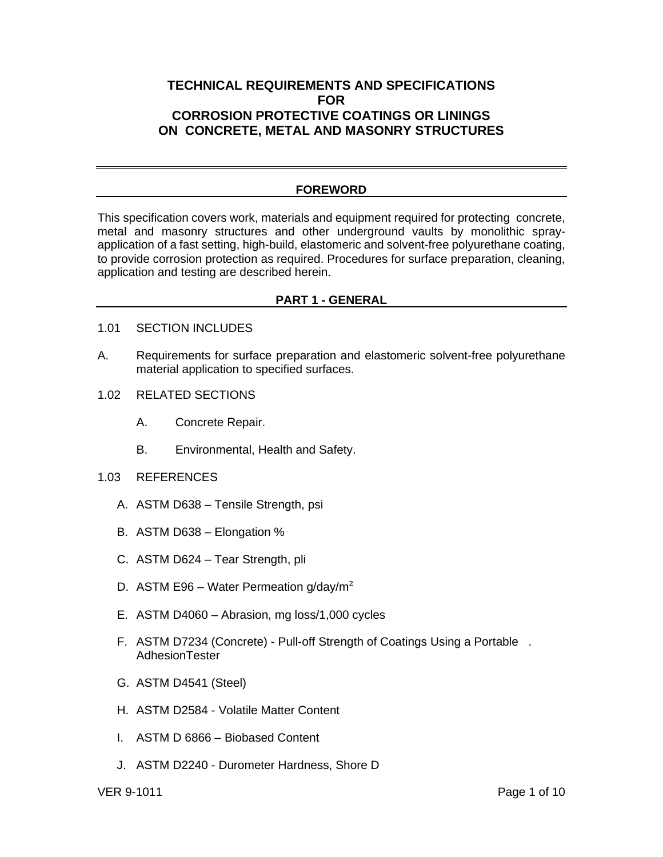# **TECHNICAL REQUIREMENTS AND SPECIFICATIONS FOR CORROSION PROTECTIVE COATINGS OR LININGS ON CONCRETE, METAL AND MASONRY STRUCTURES**

## **FOREWORD**

This specification covers work, materials and equipment required for protecting concrete, metal and masonry structures and other underground vaults by monolithic sprayapplication of a fast setting, high-build, elastomeric and solvent-free polyurethane coating, to provide corrosion protection as required. Procedures for surface preparation, cleaning, application and testing are described herein.

# **PART 1 - GENERAL**

- 1.01 SECTION INCLUDES
- A. Requirements for surface preparation and elastomeric solvent-free polyurethane material application to specified surfaces.
- 1.02 RELATED SECTIONS
	- A. Concrete Repair.
	- B. Environmental, Health and Safety.
- 1.03 REFERENCES
	- A. ASTM D638 Tensile Strength, psi
	- B. ASTM D638 Elongation %
	- C. ASTM D624 Tear Strength, pli
	- D. ASTM E96 Water Permeation  $g/day/m^2$
	- E. ASTM D4060 Abrasion, mg loss/1,000 cycles
	- F. ASTM D7234 (Concrete) Pull-off Strength of Coatings Using a Portable . AdhesionTester
	- G. ASTM D4541 (Steel)
	- H. ASTM D2584 Volatile Matter Content
	- I. ASTM D 6866 Biobased Content
	- J. ASTM D2240 Durometer Hardness, Shore D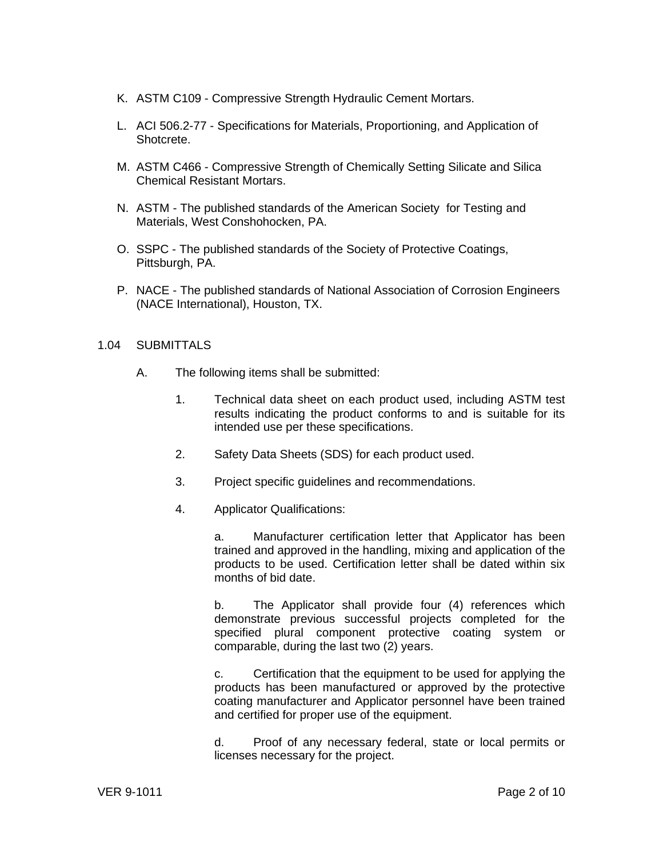- K. ASTM C109 Compressive Strength Hydraulic Cement Mortars.
- L. ACI 506.2-77 Specifications for Materials, Proportioning, and Application of Shotcrete.
- M. ASTM C466 Compressive Strength of Chemically Setting Silicate and Silica Chemical Resistant Mortars.
- N. ASTM The published standards of the American Society for Testing and Materials, West Conshohocken, PA.
- O. SSPC The published standards of the Society of Protective Coatings, Pittsburgh, PA.
- P. NACE The published standards of National Association of Corrosion Engineers (NACE International), Houston, TX.

## 1.04 SUBMITTALS

- A. The following items shall be submitted:
	- 1. Technical data sheet on each product used, including ASTM test results indicating the product conforms to and is suitable for its intended use per these specifications.
	- 2. Safety Data Sheets (SDS) for each product used.
	- 3. Project specific guidelines and recommendations.
	- 4. Applicator Qualifications:

a. Manufacturer certification letter that Applicator has been trained and approved in the handling, mixing and application of the products to be used. Certification letter shall be dated within six months of bid date.

b. The Applicator shall provide four (4) references which demonstrate previous successful projects completed for the specified plural component protective coating system or comparable, during the last two (2) years.

c. Certification that the equipment to be used for applying the products has been manufactured or approved by the protective coating manufacturer and Applicator personnel have been trained and certified for proper use of the equipment.

d. Proof of any necessary federal, state or local permits or licenses necessary for the project.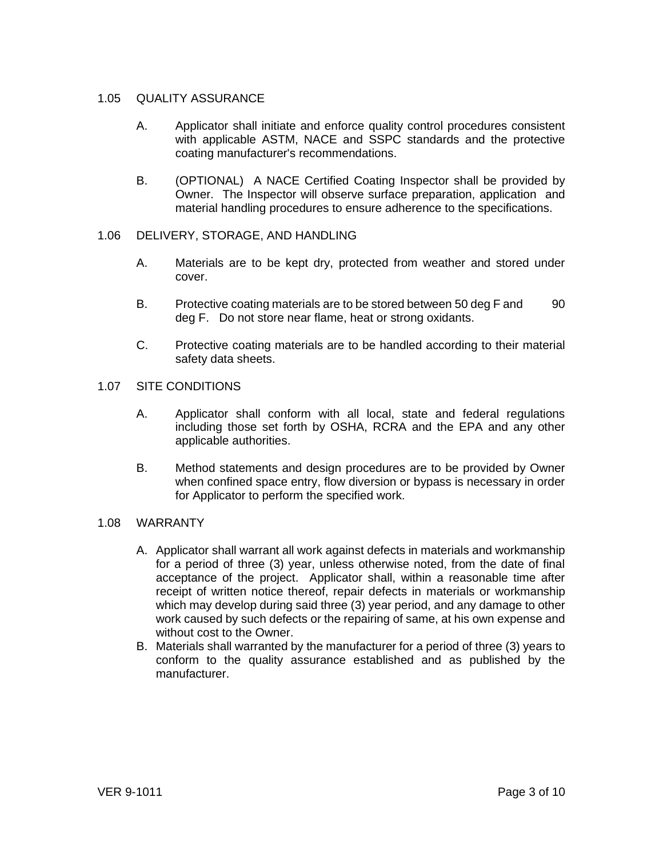## 1.05 QUALITY ASSURANCE

- A. Applicator shall initiate and enforce quality control procedures consistent with applicable ASTM, NACE and SSPC standards and the protective coating manufacturer's recommendations.
- B. (OPTIONAL) A NACE Certified Coating Inspector shall be provided by Owner. The Inspector will observe surface preparation, application and material handling procedures to ensure adherence to the specifications.

## 1.06 DELIVERY, STORAGE, AND HANDLING

- A. Materials are to be kept dry, protected from weather and stored under cover.
- B. Protective coating materials are to be stored between 50 deg F and 90 deg F. Do not store near flame, heat or strong oxidants.
- C. Protective coating materials are to be handled according to their material safety data sheets.

## 1.07 SITE CONDITIONS

- A. Applicator shall conform with all local, state and federal regulations including those set forth by OSHA, RCRA and the EPA and any other applicable authorities.
- B. Method statements and design procedures are to be provided by Owner when confined space entry, flow diversion or bypass is necessary in order for Applicator to perform the specified work.

#### 1.08 WARRANTY

- A. Applicator shall warrant all work against defects in materials and workmanship for a period of three (3) year, unless otherwise noted, from the date of final acceptance of the project. Applicator shall, within a reasonable time after receipt of written notice thereof, repair defects in materials or workmanship which may develop during said three (3) year period, and any damage to other work caused by such defects or the repairing of same, at his own expense and without cost to the Owner.
- B. Materials shall warranted by the manufacturer for a period of three (3) years to conform to the quality assurance established and as published by the manufacturer.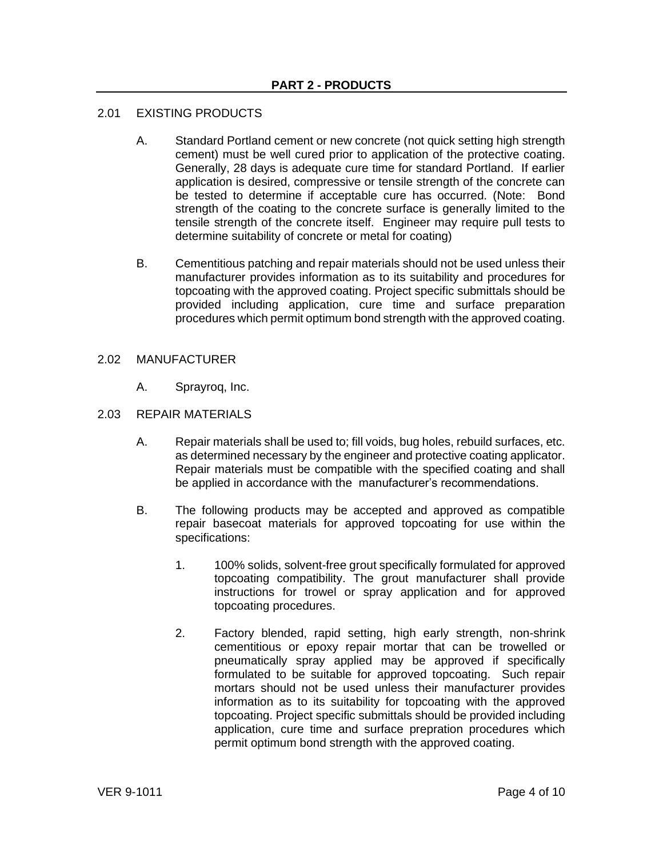## 2.01 EXISTING PRODUCTS

- A. Standard Portland cement or new concrete (not quick setting high strength cement) must be well cured prior to application of the protective coating. Generally, 28 days is adequate cure time for standard Portland. If earlier application is desired, compressive or tensile strength of the concrete can be tested to determine if acceptable cure has occurred. (Note: Bond strength of the coating to the concrete surface is generally limited to the tensile strength of the concrete itself. Engineer may require pull tests to determine suitability of concrete or metal for coating)
- B. Cementitious patching and repair materials should not be used unless their manufacturer provides information as to its suitability and procedures for topcoating with the approved coating. Project specific submittals should be provided including application, cure time and surface preparation procedures which permit optimum bond strength with the approved coating.

## 2.02 MANUFACTURER

A. Sprayroq, Inc.

## 2.03 REPAIR MATERIALS

- A. Repair materials shall be used to; fill voids, bug holes, rebuild surfaces, etc. as determined necessary by the engineer and protective coating applicator. Repair materials must be compatible with the specified coating and shall be applied in accordance with the manufacturer's recommendations.
- B. The following products may be accepted and approved as compatible repair basecoat materials for approved topcoating for use within the specifications:
	- 1. 100% solids, solvent-free grout specifically formulated for approved topcoating compatibility. The grout manufacturer shall provide instructions for trowel or spray application and for approved topcoating procedures.
	- 2. Factory blended, rapid setting, high early strength, non-shrink cementitious or epoxy repair mortar that can be trowelled or pneumatically spray applied may be approved if specifically formulated to be suitable for approved topcoating. Such repair mortars should not be used unless their manufacturer provides information as to its suitability for topcoating with the approved topcoating. Project specific submittals should be provided including application, cure time and surface prepration procedures which permit optimum bond strength with the approved coating.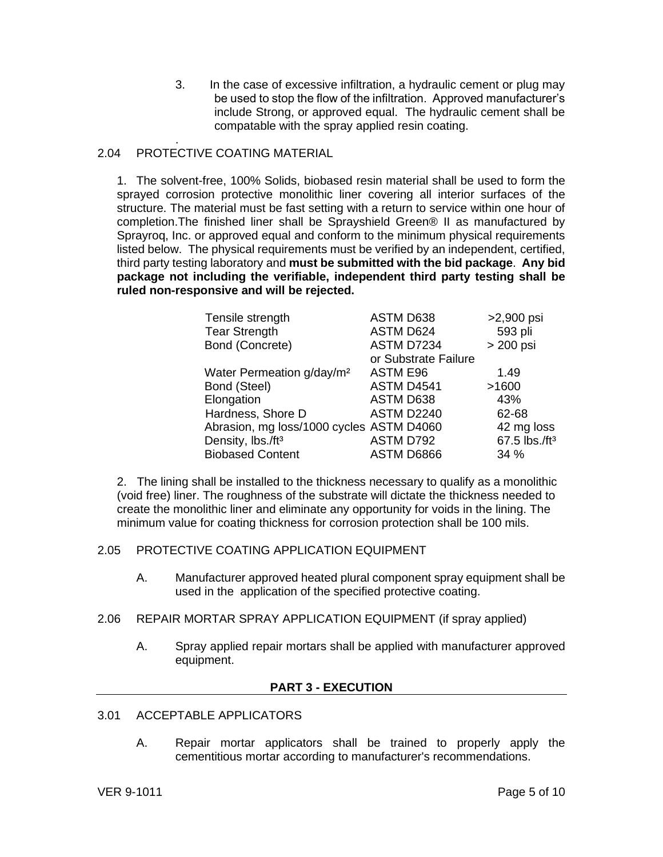3. In the case of excessive infiltration, a hydraulic cement or plug may be used to stop the flow of the infiltration. Approved manufacturer's include Strong, or approved equal. The hydraulic cement shall be compatable with the spray applied resin coating.

#### . 2.04 PROTECTIVE COATING MATERIAL

1. The solvent-free, 100% Solids, biobased resin material shall be used to form the sprayed corrosion protective monolithic liner covering all interior surfaces of the structure. The material must be fast setting with a return to service within one hour of completion.The finished liner shall be Sprayshield Green® II as manufactured by Sprayroq, Inc. or approved equal and conform to the minimum physical requirements listed below. The physical requirements must be verified by an independent, certified, third party testing laboratory and **must be submitted with the bid package**. **Any bid package not including the verifiable, independent third party testing shall be ruled non-responsive and will be rejected.**

| Tensile strength                         | ASTM D638            | >2,900 psi                |
|------------------------------------------|----------------------|---------------------------|
| <b>Tear Strength</b>                     | ASTM D624            | 593 pli                   |
| Bond (Concrete)                          | ASTM D7234           | > 200 psi                 |
|                                          | or Substrate Failure |                           |
| Water Permeation g/day/m <sup>2</sup>    | <b>ASTM E96</b>      | 1.49                      |
| Bond (Steel)                             | ASTM D4541           | >1600                     |
| Elongation                               | ASTM D638            | 43%                       |
| Hardness, Shore D                        | <b>ASTM D2240</b>    | 62-68                     |
| Abrasion, mg loss/1000 cycles ASTM D4060 |                      | 42 mg loss                |
| Density, lbs./ft <sup>3</sup>            | ASTM D792            | 67.5 lbs./ft <sup>3</sup> |
| <b>Biobased Content</b>                  | ASTM D6866           | 34%                       |

2. The lining shall be installed to the thickness necessary to qualify as a monolithic (void free) liner. The roughness of the substrate will dictate the thickness needed to create the monolithic liner and eliminate any opportunity for voids in the lining. The minimum value for coating thickness for corrosion protection shall be 100 mils.

# 2.05 PROTECTIVE COATING APPLICATION EQUIPMENT

- A. Manufacturer approved heated plural component spray equipment shall be used in the application of the specified protective coating.
- 2.06 REPAIR MORTAR SPRAY APPLICATION EQUIPMENT (if spray applied)
	- A. Spray applied repair mortars shall be applied with manufacturer approved equipment.

## **PART 3 - EXECUTION**

- 3.01 ACCEPTABLE APPLICATORS
	- A. Repair mortar applicators shall be trained to properly apply the cementitious mortar according to manufacturer's recommendations.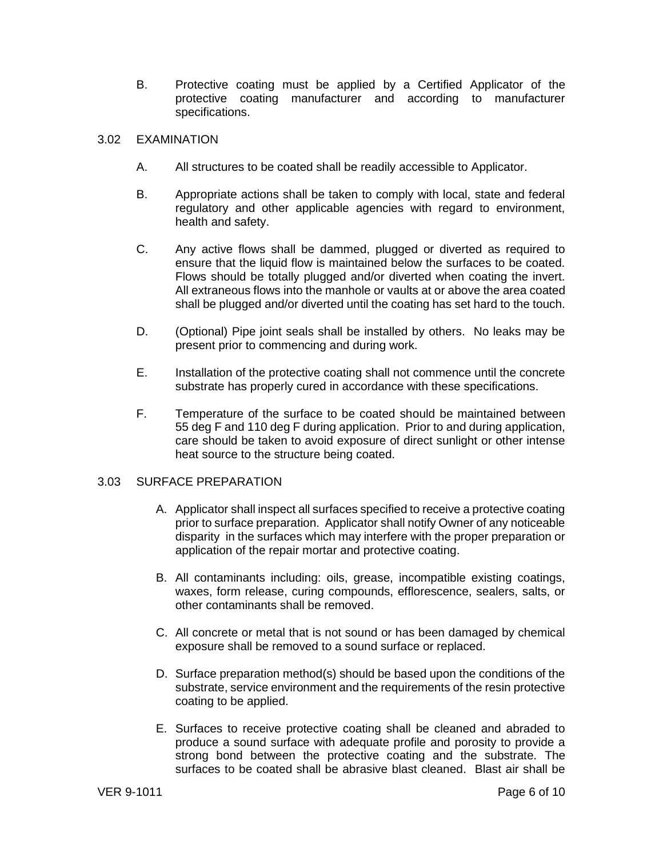B. Protective coating must be applied by a Certified Applicator of the protective coating manufacturer and according to manufacturer specifications.

## 3.02 EXAMINATION

- A. All structures to be coated shall be readily accessible to Applicator.
- B. Appropriate actions shall be taken to comply with local, state and federal regulatory and other applicable agencies with regard to environment, health and safety.
- C. Any active flows shall be dammed, plugged or diverted as required to ensure that the liquid flow is maintained below the surfaces to be coated. Flows should be totally plugged and/or diverted when coating the invert. All extraneous flows into the manhole or vaults at or above the area coated shall be plugged and/or diverted until the coating has set hard to the touch.
- D. (Optional) Pipe joint seals shall be installed by others. No leaks may be present prior to commencing and during work.
- E. Installation of the protective coating shall not commence until the concrete substrate has properly cured in accordance with these specifications.
- F. Temperature of the surface to be coated should be maintained between 55 deg F and 110 deg F during application. Prior to and during application, care should be taken to avoid exposure of direct sunlight or other intense heat source to the structure being coated.

## 3.03 SURFACE PREPARATION

- A. Applicator shall inspect all surfaces specified to receive a protective coating prior to surface preparation. Applicator shall notify Owner of any noticeable disparity in the surfaces which may interfere with the proper preparation or application of the repair mortar and protective coating.
- B. All contaminants including: oils, grease, incompatible existing coatings, waxes, form release, curing compounds, efflorescence, sealers, salts, or other contaminants shall be removed.
- C. All concrete or metal that is not sound or has been damaged by chemical exposure shall be removed to a sound surface or replaced.
- D. Surface preparation method(s) should be based upon the conditions of the substrate, service environment and the requirements of the resin protective coating to be applied.
- E. Surfaces to receive protective coating shall be cleaned and abraded to produce a sound surface with adequate profile and porosity to provide a strong bond between the protective coating and the substrate. The surfaces to be coated shall be abrasive blast cleaned. Blast air shall be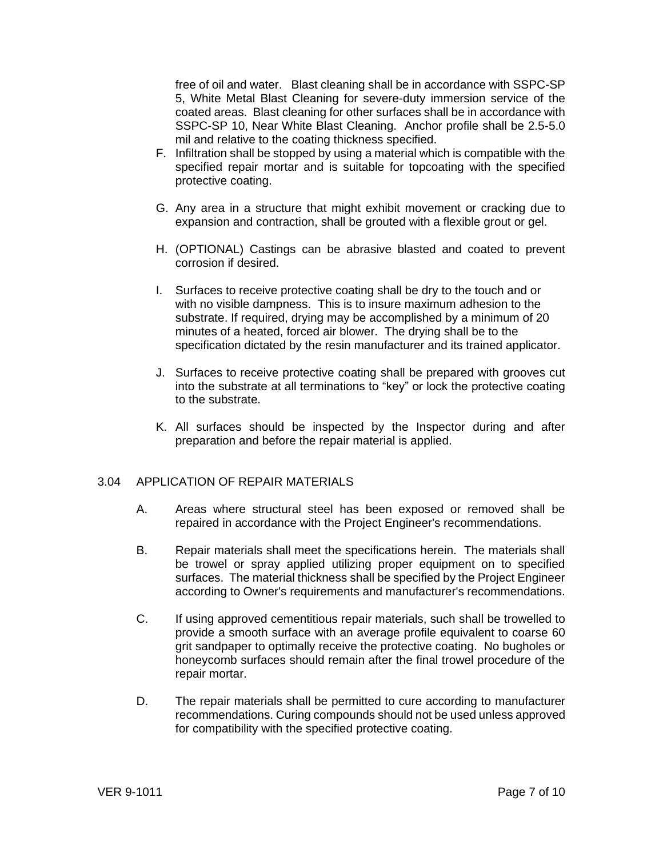free of oil and water. Blast cleaning shall be in accordance with SSPC-SP 5, White Metal Blast Cleaning for severe-duty immersion service of the coated areas. Blast cleaning for other surfaces shall be in accordance with SSPC-SP 10, Near White Blast Cleaning. Anchor profile shall be 2.5-5.0 mil and relative to the coating thickness specified.

- F. Infiltration shall be stopped by using a material which is compatible with the specified repair mortar and is suitable for topcoating with the specified protective coating.
- G. Any area in a structure that might exhibit movement or cracking due to expansion and contraction, shall be grouted with a flexible grout or gel.
- H. (OPTIONAL) Castings can be abrasive blasted and coated to prevent corrosion if desired.
- I. Surfaces to receive protective coating shall be dry to the touch and or with no visible dampness. This is to insure maximum adhesion to the substrate. If required, drying may be accomplished by a minimum of 20 minutes of a heated, forced air blower. The drying shall be to the specification dictated by the resin manufacturer and its trained applicator.
- J. Surfaces to receive protective coating shall be prepared with grooves cut into the substrate at all terminations to "key" or lock the protective coating to the substrate.
- K. All surfaces should be inspected by the Inspector during and after preparation and before the repair material is applied.

## 3.04 APPLICATION OF REPAIR MATERIALS

- A. Areas where structural steel has been exposed or removed shall be repaired in accordance with the Project Engineer's recommendations.
- B. Repair materials shall meet the specifications herein. The materials shall be trowel or spray applied utilizing proper equipment on to specified surfaces. The material thickness shall be specified by the Project Engineer according to Owner's requirements and manufacturer's recommendations.
- C. If using approved cementitious repair materials, such shall be trowelled to provide a smooth surface with an average profile equivalent to coarse 60 grit sandpaper to optimally receive the protective coating. No bugholes or honeycomb surfaces should remain after the final trowel procedure of the repair mortar.
- D. The repair materials shall be permitted to cure according to manufacturer recommendations. Curing compounds should not be used unless approved for compatibility with the specified protective coating.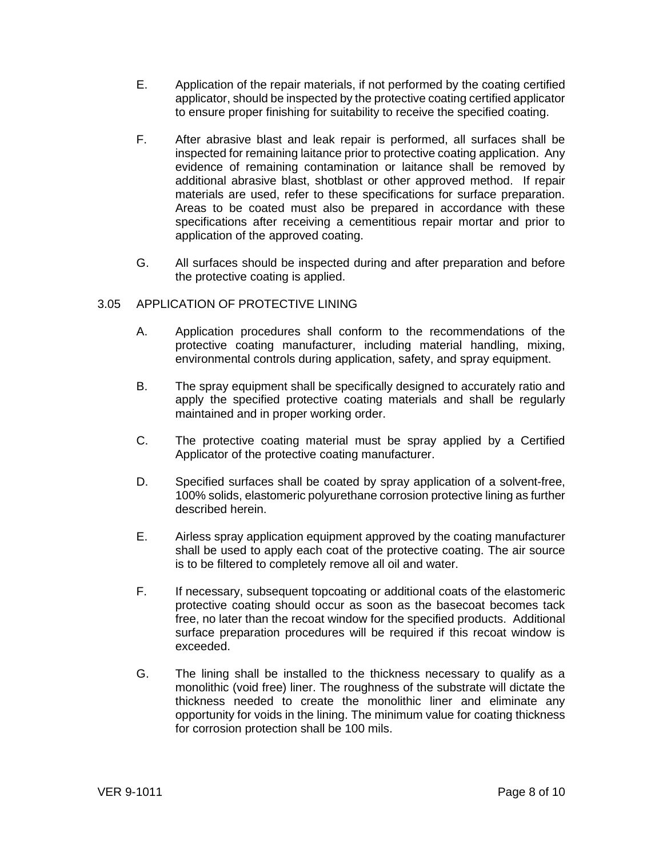- E. Application of the repair materials, if not performed by the coating certified applicator, should be inspected by the protective coating certified applicator to ensure proper finishing for suitability to receive the specified coating.
- F. After abrasive blast and leak repair is performed, all surfaces shall be inspected for remaining laitance prior to protective coating application. Any evidence of remaining contamination or laitance shall be removed by additional abrasive blast, shotblast or other approved method. If repair materials are used, refer to these specifications for surface preparation. Areas to be coated must also be prepared in accordance with these specifications after receiving a cementitious repair mortar and prior to application of the approved coating.
- G. All surfaces should be inspected during and after preparation and before the protective coating is applied.

## 3.05 APPLICATION OF PROTECTIVE LINING

- A. Application procedures shall conform to the recommendations of the protective coating manufacturer, including material handling, mixing, environmental controls during application, safety, and spray equipment.
- B. The spray equipment shall be specifically designed to accurately ratio and apply the specified protective coating materials and shall be regularly maintained and in proper working order.
- C. The protective coating material must be spray applied by a Certified Applicator of the protective coating manufacturer.
- D. Specified surfaces shall be coated by spray application of a solvent-free, 100% solids, elastomeric polyurethane corrosion protective lining as further described herein.
- E. Airless spray application equipment approved by the coating manufacturer shall be used to apply each coat of the protective coating. The air source is to be filtered to completely remove all oil and water.
- F. If necessary, subsequent topcoating or additional coats of the elastomeric protective coating should occur as soon as the basecoat becomes tack free, no later than the recoat window for the specified products. Additional surface preparation procedures will be required if this recoat window is exceeded.
- G. The lining shall be installed to the thickness necessary to qualify as a monolithic (void free) liner. The roughness of the substrate will dictate the thickness needed to create the monolithic liner and eliminate any opportunity for voids in the lining. The minimum value for coating thickness for corrosion protection shall be 100 mils.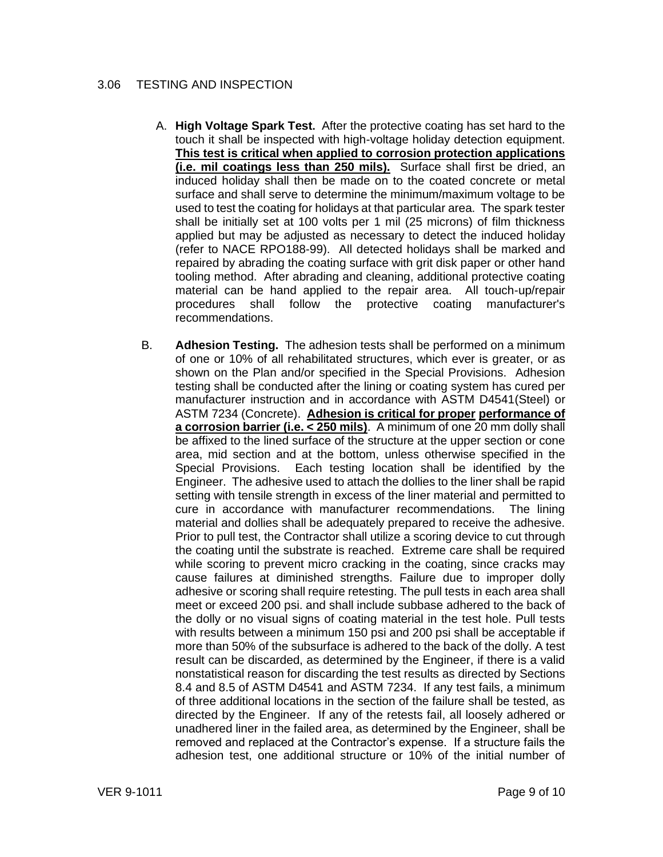## 3.06 TESTING AND INSPECTION

- A. **High Voltage Spark Test.** After the protective coating has set hard to the touch it shall be inspected with high-voltage holiday detection equipment. **This test is critical when applied to corrosion protection applications (i.e. mil coatings less than 250 mils).** Surface shall first be dried, an induced holiday shall then be made on to the coated concrete or metal surface and shall serve to determine the minimum/maximum voltage to be used to test the coating for holidays at that particular area. The spark tester shall be initially set at 100 volts per 1 mil (25 microns) of film thickness applied but may be adjusted as necessary to detect the induced holiday (refer to NACE RPO188-99). All detected holidays shall be marked and repaired by abrading the coating surface with grit disk paper or other hand tooling method. After abrading and cleaning, additional protective coating material can be hand applied to the repair area. All touch-up/repair procedures shall follow the protective coating manufacturer's recommendations.
- B. **Adhesion Testing.** The adhesion tests shall be performed on a minimum of one or 10% of all rehabilitated structures, which ever is greater, or as shown on the Plan and/or specified in the Special Provisions. Adhesion testing shall be conducted after the lining or coating system has cured per manufacturer instruction and in accordance with ASTM D4541(Steel) or ASTM 7234 (Concrete). **Adhesion is critical for proper performance of a corrosion barrier (i.e. < 250 mils)**. A minimum of one 20 mm dolly shall be affixed to the lined surface of the structure at the upper section or cone area, mid section and at the bottom, unless otherwise specified in the Special Provisions. Each testing location shall be identified by the Engineer. The adhesive used to attach the dollies to the liner shall be rapid setting with tensile strength in excess of the liner material and permitted to cure in accordance with manufacturer recommendations. The lining material and dollies shall be adequately prepared to receive the adhesive. Prior to pull test, the Contractor shall utilize a scoring device to cut through the coating until the substrate is reached. Extreme care shall be required while scoring to prevent micro cracking in the coating, since cracks may cause failures at diminished strengths. Failure due to improper dolly adhesive or scoring shall require retesting. The pull tests in each area shall meet or exceed 200 psi. and shall include subbase adhered to the back of the dolly or no visual signs of coating material in the test hole. Pull tests with results between a minimum 150 psi and 200 psi shall be acceptable if more than 50% of the subsurface is adhered to the back of the dolly. A test result can be discarded, as determined by the Engineer, if there is a valid nonstatistical reason for discarding the test results as directed by Sections 8.4 and 8.5 of ASTM D4541 and ASTM 7234. If any test fails, a minimum of three additional locations in the section of the failure shall be tested, as directed by the Engineer. If any of the retests fail, all loosely adhered or unadhered liner in the failed area, as determined by the Engineer, shall be removed and replaced at the Contractor's expense. If a structure fails the adhesion test, one additional structure or 10% of the initial number of